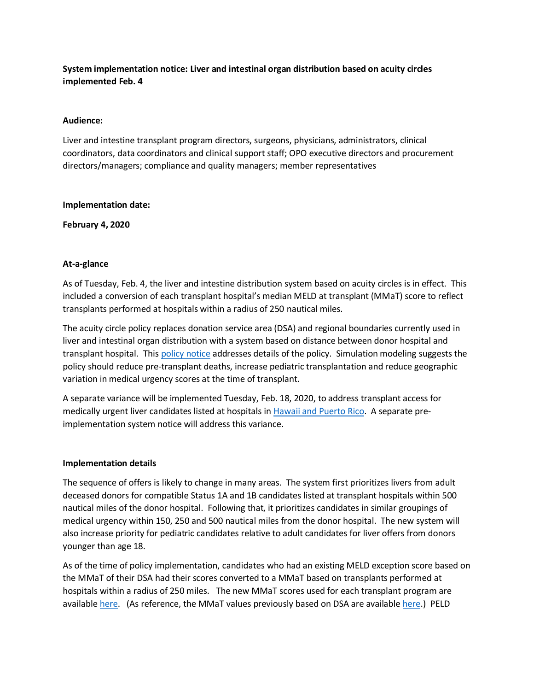# **System implementation notice: Liver and intestinal organ distribution based on acuity circles implemented Feb. 4**

### **Audience:**

Liver and intestine transplant program directors, surgeons, physicians, administrators, clinical coordinators, data coordinators and clinical support staff; OPO executive directors and procurement directors/managers; compliance and quality managers; member representatives

#### **Implementation date:**

**February 4, 2020**

#### **At-a-glance**

As of Tuesday, Feb. 4, the liver and intestine distribution system based on acuity circles is in effect. This included a conversion of each transplant hospital's median MELD at transplant (MMaT) score to reflect transplants performed at hospitals within a radius of 250 nautical miles.

The acuity circle policy replaces donation service area (DSA) and regional boundaries currently used in liver and intestinal organ distribution with a system based on distance between donor hospital and transplant hospital. Thi[s policy notice](https://optn.transplant.hrsa.gov/media/2788/liver_policynotice_201901.pdf) addresses details of the policy. Simulation modeling suggests the policy should reduce pre-transplant deaths, increase pediatric transplantation and reduce geographic variation in medical urgency scores at the time of transplant.

A separate variance will be implemented Tuesday, Feb. 18, 2020, to address transplant access for medically urgent liver candidates listed at hospitals i[n Hawaii and Puerto Rico.](https://optn.transplant.hrsa.gov/governance/public-comment/access-for-urgent-liver-candidates-in-hawaii-and-puerto-rico/) A separate preimplementation system notice will address this variance.

#### **Implementation details**

The sequence of offers is likely to change in many areas. The system first prioritizes livers from adult deceased donors for compatible Status 1A and 1B candidates listed at transplant hospitals within 500 nautical miles of the donor hospital. Following that, it prioritizes candidates in similar groupings of medical urgency within 150, 250 and 500 nautical miles from the donor hospital. The new system will also increase priority for pediatric candidates relative to adult candidates for liver offers from donors younger than age 18.

As of the time of policy implementation, candidates who had an existing MELD exception score based on the MMaT of their DSA had their scores converted to a MMaT based on transplants performed at hospitals within a radius of 250 miles. The new MMaT scores used for each transplant program are availabl[e here.](https://optn.transplant.hrsa.gov/media/3181/median-meld-circles-reference_09_2019.pdf) (As reference, the MMaT values previously based on DSA are availabl[e here.](https://optn.transplant.hrsa.gov/media/3180/mts_dsa_distribution_20190924.pdf)) PELD